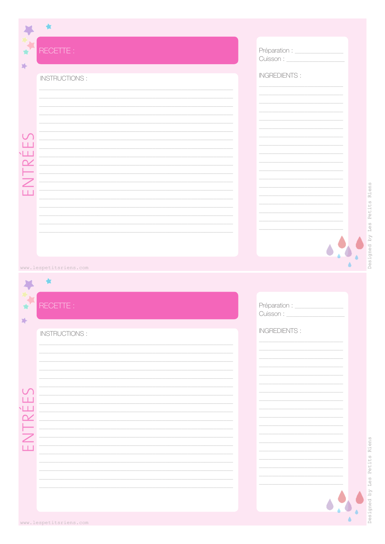|                            | 食                      |                                        |  |
|----------------------------|------------------------|----------------------------------------|--|
| 冷                          | RECETTE :              | Préparation : ____________             |  |
|                            | <b>INSTRUCTIONS:</b>   | <b>INGREDIENTS:</b>                    |  |
|                            |                        |                                        |  |
|                            |                        |                                        |  |
|                            |                        |                                        |  |
| L.L.                       |                        |                                        |  |
| TRÉI                       |                        |                                        |  |
|                            |                        |                                        |  |
|                            |                        |                                        |  |
|                            |                        |                                        |  |
|                            |                        |                                        |  |
|                            | www.lespetitsriens.com |                                        |  |
|                            |                        |                                        |  |
| ŵ                          | RECETTE :              | Préparation : _________<br>Cuisson : _ |  |
| 龄                          | <b>INSTRUCTIONS:</b>   | <b>INGREDIENTS:</b>                    |  |
|                            |                        |                                        |  |
|                            |                        |                                        |  |
|                            |                        |                                        |  |
| LT.<br>$\sqrt{2}$          |                        |                                        |  |
|                            |                        |                                        |  |
| $\overline{\angle}$<br>ПĒ. |                        |                                        |  |
|                            |                        |                                        |  |
|                            |                        |                                        |  |
|                            |                        |                                        |  |

 $\pmb{\delta}$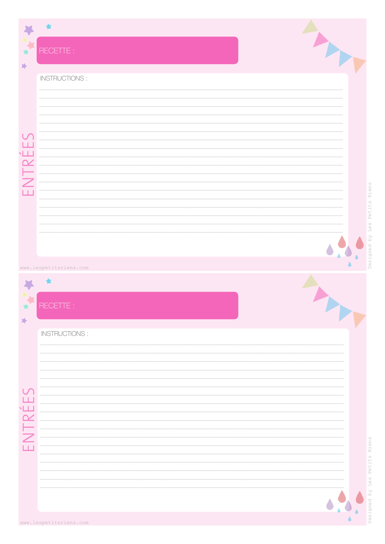| 埠                           | RECETTE :                           |                            |
|-----------------------------|-------------------------------------|----------------------------|
|                             | INSTRUCTIONS :                      |                            |
| $\cup$<br>L.L<br>$\sqrt{1}$ |                                     |                            |
| ПĒ.                         |                                     | Riens<br>Petits            |
|                             |                                     | $\sqcup$ es<br>Designed by |
|                             | www.lespetitsriens.com<br>RECETTE : |                            |
| 蹲                           | <b>INSTRUCTIONS:</b>                |                            |
| TRÉES                       |                                     |                            |
| $\mathop{\cong}\nolimits$   |                                     | Petits Riens               |
|                             |                                     | Les<br>esigned by          |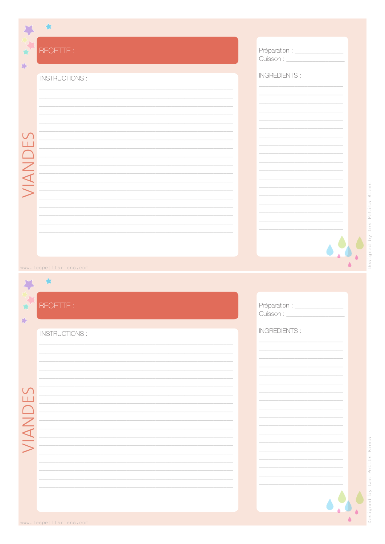|         | 食                      |                                    |
|---------|------------------------|------------------------------------|
| 峰       | RECETTE :              |                                    |
|         | INSTRUCTIONS:          | <b>INGREDIENTS:</b>                |
|         |                        |                                    |
|         |                        |                                    |
|         |                        |                                    |
| VIANDES |                        |                                    |
|         |                        |                                    |
|         |                        |                                    |
|         |                        |                                    |
|         |                        |                                    |
|         |                        |                                    |
|         |                        |                                    |
|         | www.lespetitsriens.com |                                    |
|         |                        |                                    |
|         | RECETTE :              |                                    |
| 跨       |                        | Cuisson : _<br><b>INGREDIENTS:</b> |
|         | <b>INSTRUCTIONS:</b>   |                                    |
|         |                        |                                    |
|         |                        |                                    |
|         |                        |                                    |
|         |                        |                                    |
| VIANDE  |                        |                                    |
|         |                        |                                    |
|         |                        |                                    |
|         |                        |                                    |

 $\ddot{\bullet}$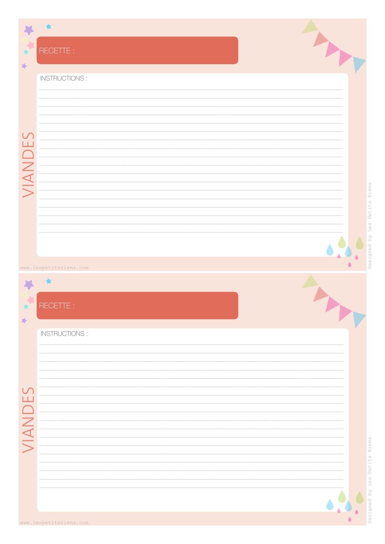|                         | RECETTE :              |  |
|-------------------------|------------------------|--|
| 跨                       |                        |  |
|                         | INSTRUCTIONS :         |  |
|                         |                        |  |
|                         |                        |  |
|                         |                        |  |
| $\overline{\mathsf{F}}$ |                        |  |
| $\Box$                  |                        |  |
| VIANI                   |                        |  |
|                         |                        |  |
|                         |                        |  |
|                         |                        |  |
|                         |                        |  |
|                         |                        |  |
|                         | www.lespetitsriens.com |  |
|                         |                        |  |
|                         | RECETT                 |  |
| 峰                       |                        |  |
|                         | INSTRUCTIONS :         |  |
|                         |                        |  |
|                         |                        |  |
| LТ.                     |                        |  |
|                         |                        |  |
|                         |                        |  |
| VIAN                    |                        |  |
|                         |                        |  |
|                         |                        |  |
|                         |                        |  |
|                         |                        |  |

 $\hat{\mathbf{a}}$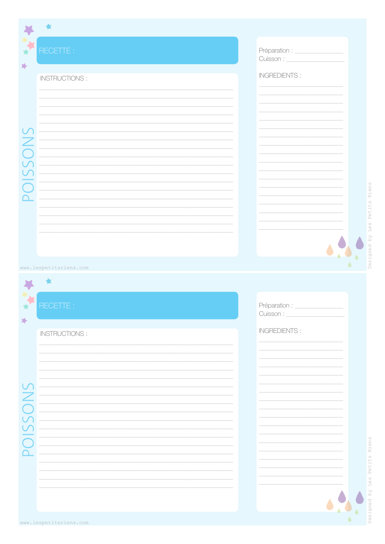| RECETTE :<br>Préparation : _______________<br>姊<br><b>INGREDIENTS:</b><br><b>INSTRUCTIONS:</b><br>$\cup$<br><b>DISSON</b><br>www.lespetitsriens.com<br>RECETTE :<br>Préparation : _______________<br>峰<br><b>INGREDIENTS:</b><br><b>INSTRUCTIONS:</b><br>NU<br>C<br>$\bigcup$<br>$\overline{\overline{C}}$<br>$\overline{\Omega}$ |  |  |
|-----------------------------------------------------------------------------------------------------------------------------------------------------------------------------------------------------------------------------------------------------------------------------------------------------------------------------------|--|--|
|                                                                                                                                                                                                                                                                                                                                   |  |  |
|                                                                                                                                                                                                                                                                                                                                   |  |  |
|                                                                                                                                                                                                                                                                                                                                   |  |  |
|                                                                                                                                                                                                                                                                                                                                   |  |  |
|                                                                                                                                                                                                                                                                                                                                   |  |  |
|                                                                                                                                                                                                                                                                                                                                   |  |  |
|                                                                                                                                                                                                                                                                                                                                   |  |  |
|                                                                                                                                                                                                                                                                                                                                   |  |  |
|                                                                                                                                                                                                                                                                                                                                   |  |  |
|                                                                                                                                                                                                                                                                                                                                   |  |  |
|                                                                                                                                                                                                                                                                                                                                   |  |  |
|                                                                                                                                                                                                                                                                                                                                   |  |  |
|                                                                                                                                                                                                                                                                                                                                   |  |  |
|                                                                                                                                                                                                                                                                                                                                   |  |  |
|                                                                                                                                                                                                                                                                                                                                   |  |  |
|                                                                                                                                                                                                                                                                                                                                   |  |  |
|                                                                                                                                                                                                                                                                                                                                   |  |  |
|                                                                                                                                                                                                                                                                                                                                   |  |  |
|                                                                                                                                                                                                                                                                                                                                   |  |  |
|                                                                                                                                                                                                                                                                                                                                   |  |  |
|                                                                                                                                                                                                                                                                                                                                   |  |  |

J

 $\bullet$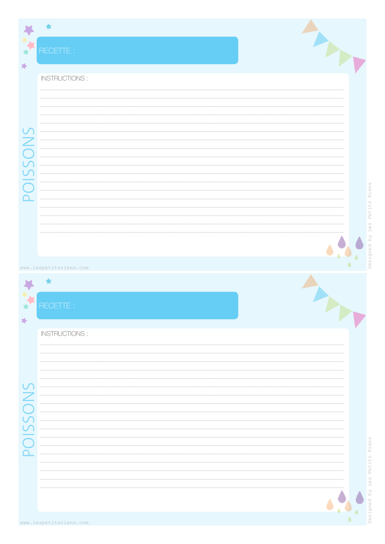| 棒                                                     | RECETTE :              |  |
|-------------------------------------------------------|------------------------|--|
|                                                       | INSTRUCTIONS:          |  |
|                                                       |                        |  |
| POISSONS                                              |                        |  |
|                                                       |                        |  |
|                                                       | www.lespetitsriens.com |  |
| Ŵ<br>龄                                                | RECETTE :              |  |
|                                                       | INSTRUCTIONS:          |  |
| $\cup$<br>ON                                          |                        |  |
| 55<br>$\overline{\bigcap}$<br>$\overline{\mathsf{d}}$ |                        |  |
|                                                       |                        |  |

 $\pmb{\delta}$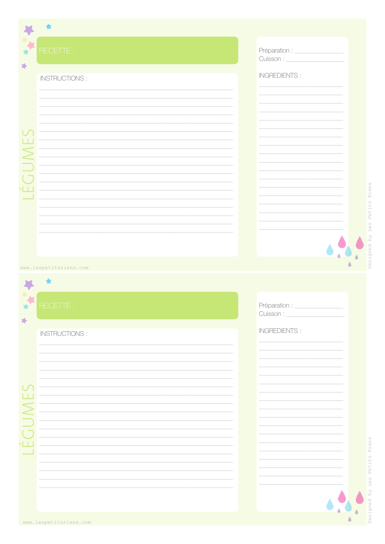|   | 食                      |                          |  |
|---|------------------------|--------------------------|--|
|   |                        |                          |  |
| 冷 | RECETTE :              |                          |  |
|   | <b>INSTRUCTIONS:</b>   | <b>INGREDIENTS:</b>      |  |
|   |                        |                          |  |
|   |                        |                          |  |
|   |                        |                          |  |
|   |                        |                          |  |
|   |                        |                          |  |
|   |                        |                          |  |
|   |                        |                          |  |
|   |                        |                          |  |
|   |                        |                          |  |
|   |                        |                          |  |
|   |                        |                          |  |
|   |                        |                          |  |
|   | www.lespetitsriens.com |                          |  |
|   |                        |                          |  |
|   | RECETTE:               | Préparation : __________ |  |
| 龄 |                        | Cuisson : _              |  |
|   | <b>INSTRUCTIONS:</b>   | <b>INGREDIENTS:</b>      |  |
|   |                        |                          |  |
|   |                        |                          |  |
|   |                        |                          |  |
|   |                        |                          |  |
|   |                        |                          |  |
|   |                        |                          |  |
|   |                        |                          |  |
|   |                        |                          |  |
|   |                        |                          |  |
|   |                        |                          |  |
|   |                        |                          |  |
|   |                        |                          |  |

ò  $\hat{\bullet}$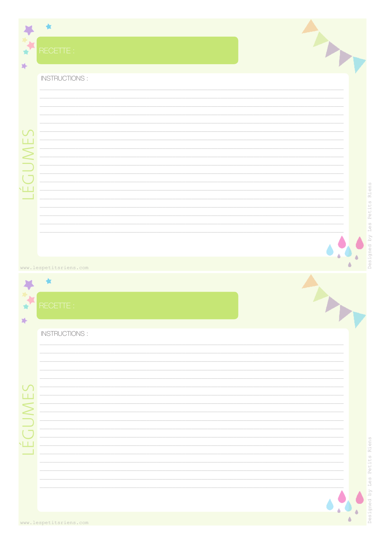|             | RECETTE :              |  |
|-------------|------------------------|--|
| 添           | INSTRUCTIONS :         |  |
| Ш<br>$\geq$ |                        |  |
| ŃЩ          |                        |  |
|             | www.lespetitsriens.com |  |
| Ŵ<br>冷      | RECETTE :              |  |
|             | <b>INSTRUCTIONS:</b>   |  |
|             |                        |  |
| ц           |                        |  |
|             |                        |  |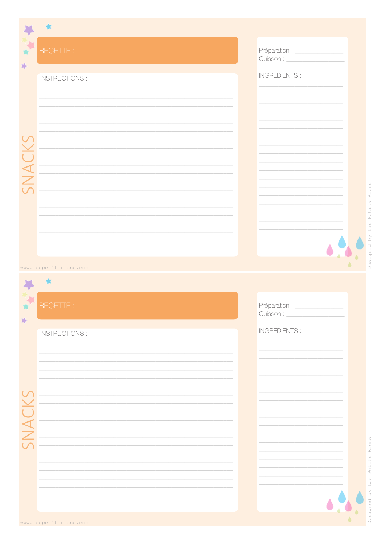|   | 食                      |                              |  |
|---|------------------------|------------------------------|--|
| 埠 | RECETTE :              | Préparation : ______________ |  |
|   | INSTRUCTIONS:          | <b>INGREDIENTS:</b>          |  |
|   |                        |                              |  |
|   |                        |                              |  |
|   |                        |                              |  |
|   |                        |                              |  |
|   |                        |                              |  |
|   |                        |                              |  |
|   |                        |                              |  |
|   |                        |                              |  |
|   |                        |                              |  |
|   |                        |                              |  |
|   |                        |                              |  |
|   | www.lespetitsriens.com |                              |  |
|   |                        |                              |  |
|   | RECETTE :              | Préparation : _______        |  |
| 冷 |                        | Cuisson : _                  |  |
|   | INSTRUCTIONS:          | <b>INGREDIENTS:</b>          |  |
|   |                        |                              |  |
|   |                        |                              |  |
|   |                        |                              |  |
|   |                        |                              |  |
|   |                        |                              |  |
|   |                        |                              |  |
|   |                        |                              |  |
|   |                        |                              |  |
|   |                        |                              |  |
|   |                        |                              |  |
|   |                        |                              |  |

 $\ddot{\bullet}$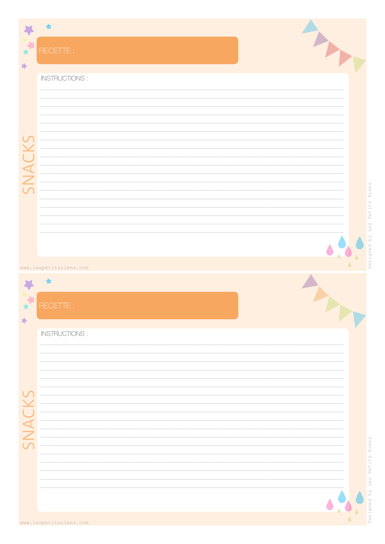|                          | RECETTE :              |   |
|--------------------------|------------------------|---|
| 峰                        | <b>INSTRUCTIONS:</b>   |   |
| $\cup$<br>$\overline{C}$ |                        |   |
| $\overline{\phantom{a}}$ |                        |   |
|                          | www.lespetitsriens.com |   |
| Ŵ<br>跨                   | RECETTE :              |   |
|                          | INSTRUCTIONS :         |   |
| $\cup$                   |                        |   |
|                          |                        |   |
|                          |                        | è |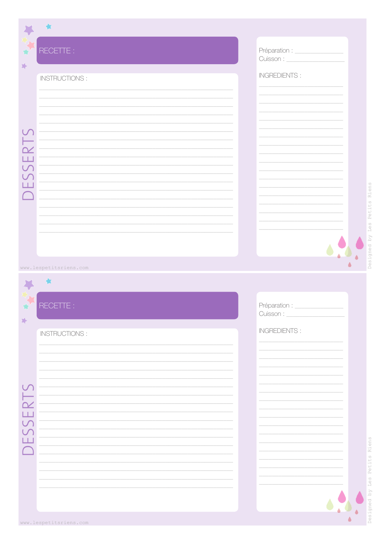|                    | 食                      |                                |
|--------------------|------------------------|--------------------------------|
| 峰                  | RECETTE :              |                                |
|                    | INSTRUCTIONS:          | <b>INGREDIENTS:</b>            |
|                    |                        |                                |
|                    |                        |                                |
| ESSER <sub>1</sub> |                        |                                |
|                    |                        |                                |
|                    |                        |                                |
|                    |                        |                                |
|                    |                        |                                |
|                    | www.lespetitsriens.com |                                |
|                    |                        |                                |
| 璯                  | RECETTE :              | Préparation : _<br>Cuisson : _ |
| 跨                  | INSTRUCTIONS:          | <b>INGREDIENTS:</b>            |
|                    |                        |                                |
|                    |                        |                                |
|                    |                        |                                |
|                    |                        |                                |
| FSSERT             |                        |                                |
|                    |                        |                                |